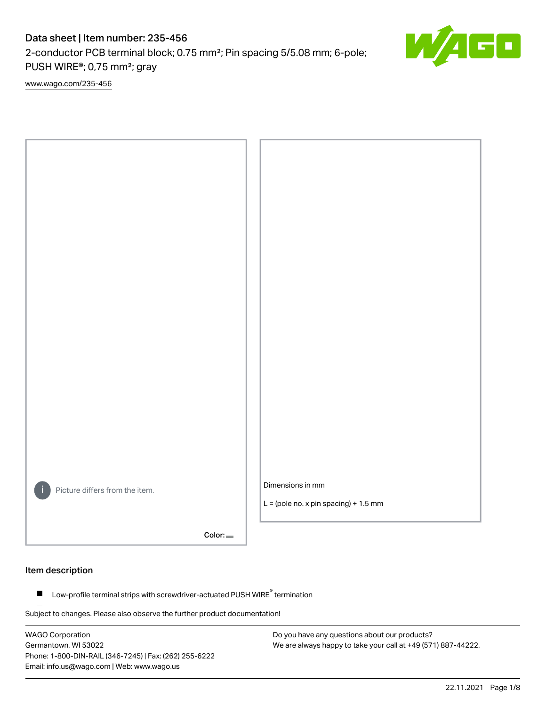# Data sheet | Item number: 235-456

2-conductor PCB terminal block; 0.75 mm²; Pin spacing 5/5.08 mm; 6-pole; PUSH WIRE®; 0,75 mm²; gray

[www.wago.com/235-456](http://www.wago.com/235-456)



Color:

# Item description

Low-profile terminal strips with screwdriver-actuated PUSH WIRE® termination  $\blacksquare$ 

Subject to changes. Please also observe the further product documentation!

WAGO Corporation Germantown, WI 53022 Phone: 1-800-DIN-RAIL (346-7245) | Fax: (262) 255-6222 Email: info.us@wago.com | Web: www.wago.us

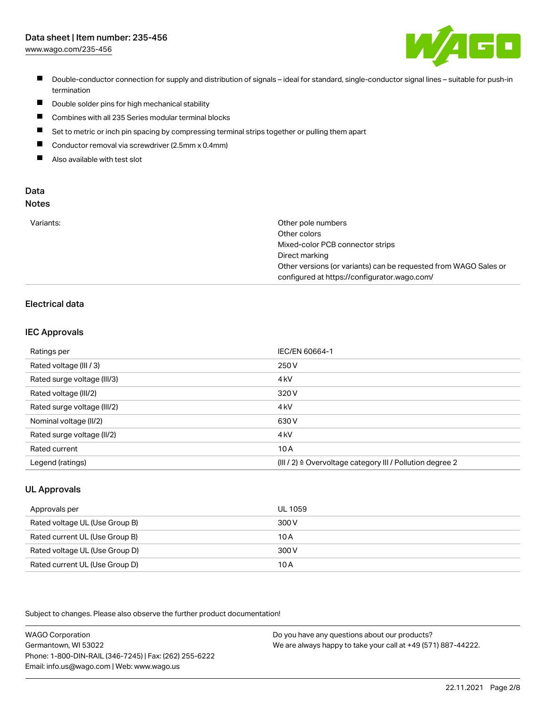# Data sheet | Item number: 235-456

[www.wago.com/235-456](http://www.wago.com/235-456)



- Double-conductor connection for supply and distribution of signals ideal for standard, single-conductor signal lines suitable for push-in termination
- $\blacksquare$ Double solder pins for high mechanical stability
- $\blacksquare$ Combines with all 235 Series modular terminal blocks
- П Set to metric or inch pin spacing by compressing terminal strips together or pulling them apart
- $\blacksquare$ Conductor removal via screwdriver (2.5mm x 0.4mm)
- $\blacksquare$ Also available with test slot

#### Data Notes

|  | ×<br>M.<br>۰. | - -<br>I<br>. .<br>۰.<br>۰. |  |
|--|---------------|-----------------------------|--|
|  |               |                             |  |
|  |               |                             |  |

| Variants: | Other pole numbers                                               |
|-----------|------------------------------------------------------------------|
|           | Other colors                                                     |
|           | Mixed-color PCB connector strips                                 |
|           | Direct marking                                                   |
|           | Other versions (or variants) can be requested from WAGO Sales or |
|           | configured at https://configurator.wago.com/                     |

# Electrical data

### IEC Approvals

| Ratings per                 | IEC/EN 60664-1                                                        |
|-----------------------------|-----------------------------------------------------------------------|
| Rated voltage (III / 3)     | 250 V                                                                 |
| Rated surge voltage (III/3) | 4 <sub>k</sub> V                                                      |
| Rated voltage (III/2)       | 320 V                                                                 |
| Rated surge voltage (III/2) | 4 <sub>k</sub> V                                                      |
| Nominal voltage (II/2)      | 630 V                                                                 |
| Rated surge voltage (II/2)  | 4 <sub>k</sub> V                                                      |
| Rated current               | 10A                                                                   |
| Legend (ratings)            | $(III / 2)$ $\triangle$ Overvoltage category III / Pollution degree 2 |

## UL Approvals

| Approvals per                  | UL 1059 |
|--------------------------------|---------|
| Rated voltage UL (Use Group B) | 300 V   |
| Rated current UL (Use Group B) | 10 A    |
| Rated voltage UL (Use Group D) | 300 V   |
| Rated current UL (Use Group D) | 10A     |

Subject to changes. Please also observe the further product documentation!

WAGO Corporation Germantown, WI 53022 Phone: 1-800-DIN-RAIL (346-7245) | Fax: (262) 255-6222 Email: info.us@wago.com | Web: www.wago.us Do you have any questions about our products? We are always happy to take your call at +49 (571) 887-44222.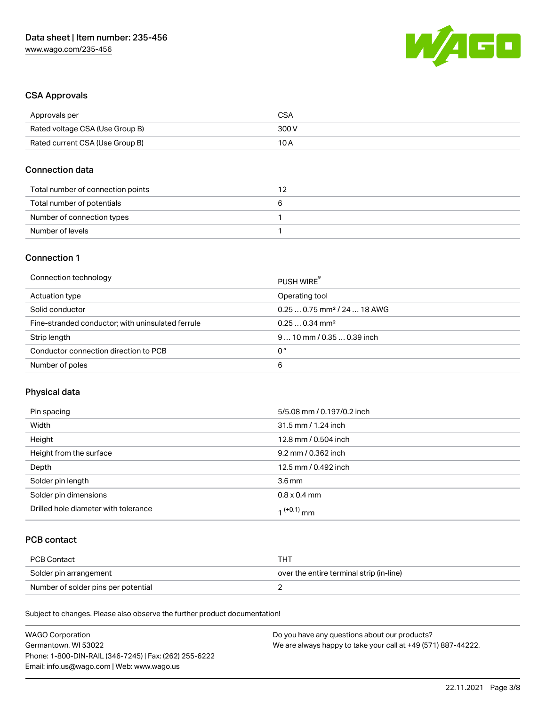

### CSA Approvals

| Approvals per                   | CSA   |
|---------------------------------|-------|
| Rated voltage CSA (Use Group B) | 300 V |
| Rated current CSA (Use Group B) | 10 A  |

### Connection data

| Total number of connection points |  |
|-----------------------------------|--|
| Total number of potentials        |  |
| Number of connection types        |  |
| Number of levels                  |  |

### Connection 1

| Connection technology                             | PUSH WIRE                               |
|---------------------------------------------------|-----------------------------------------|
| Actuation type                                    | Operating tool                          |
| Solid conductor                                   | $0.250.75$ mm <sup>2</sup> / 24  18 AWG |
| Fine-stranded conductor; with uninsulated ferrule | $0.250.34$ mm <sup>2</sup>              |
| Strip length                                      | $910$ mm / 0.35  0.39 inch              |
| Conductor connection direction to PCB             | 0°                                      |
| Number of poles                                   | 6                                       |

# Physical data

| Pin spacing                          | 5/5.08 mm / 0.197/0.2 inch |
|--------------------------------------|----------------------------|
| Width                                | 31.5 mm / 1.24 inch        |
| Height                               | 12.8 mm / 0.504 inch       |
| Height from the surface              | 9.2 mm / 0.362 inch        |
| Depth                                | 12.5 mm / 0.492 inch       |
| Solder pin length                    | 3.6 <sub>mm</sub>          |
| Solder pin dimensions                | $0.8 \times 0.4$ mm        |
| Drilled hole diameter with tolerance | $1^{(+0.1)}$ mm            |

# PCB contact

| PCB Contact                         | TH .                                     |
|-------------------------------------|------------------------------------------|
| Solder pin arrangement              | over the entire terminal strip (in-line) |
| Number of solder pins per potential |                                          |

Subject to changes. Please also observe the further product documentation!

| <b>WAGO Corporation</b>                                | Do you have any questions about our products?                 |
|--------------------------------------------------------|---------------------------------------------------------------|
| Germantown, WI 53022                                   | We are always happy to take your call at +49 (571) 887-44222. |
| Phone: 1-800-DIN-RAIL (346-7245)   Fax: (262) 255-6222 |                                                               |
| Email: info.us@wago.com   Web: www.wago.us             |                                                               |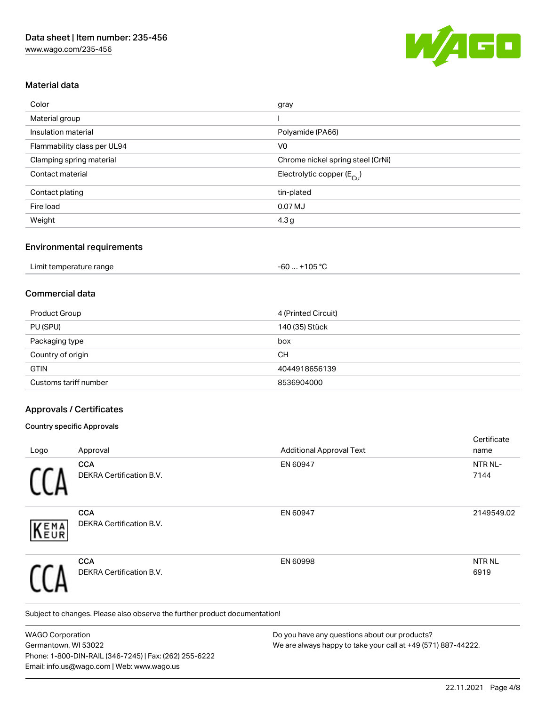

### Material data

| Color                       | gray                                  |
|-----------------------------|---------------------------------------|
| Material group              |                                       |
| Insulation material         | Polyamide (PA66)                      |
| Flammability class per UL94 | V <sub>0</sub>                        |
| Clamping spring material    | Chrome nickel spring steel (CrNi)     |
| Contact material            | Electrolytic copper $(E_{\text{Cl}})$ |
| Contact plating             | tin-plated                            |
| Fire load                   | 0.07 MJ                               |
| Weight                      | 4.3 <sub>g</sub>                      |

### Environmental requirements

| Limit temperature range | +105 °C<br>- 60 |  |
|-------------------------|-----------------|--|
|-------------------------|-----------------|--|

### Commercial data

| Product Group         | 4 (Printed Circuit) |
|-----------------------|---------------------|
| PU (SPU)              | 140 (35) Stück      |
| Packaging type        | box                 |
| Country of origin     | CН                  |
| <b>GTIN</b>           | 4044918656139       |
| Customs tariff number | 8536904000          |

### Approvals / Certificates

### Country specific Approvals

|            |                                               |                                 | Certificate          |
|------------|-----------------------------------------------|---------------------------------|----------------------|
| Logo       | Approval                                      | <b>Additional Approval Text</b> | name                 |
|            | <b>CCA</b><br>DEKRA Certification B.V.        | EN 60947                        | NTR NL-<br>7144      |
| EMA<br>EUR | <b>CCA</b><br><b>DEKRA Certification B.V.</b> | EN 60947                        | 2149549.02           |
|            | <b>CCA</b><br>DEKRA Certification B.V.        | EN 60998                        | <b>NTRNL</b><br>6919 |

Subject to changes. Please also observe the further product documentation!

WAGO Corporation Germantown, WI 53022 Phone: 1-800-DIN-RAIL (346-7245) | Fax: (262) 255-6222 Email: info.us@wago.com | Web: www.wago.us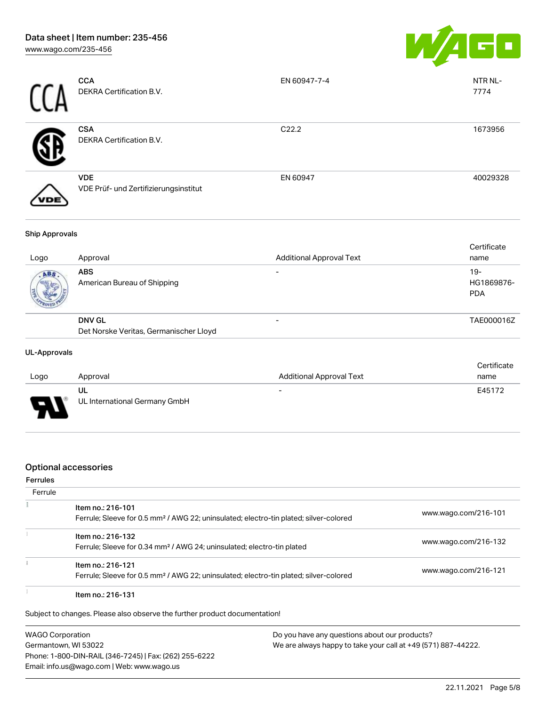

|      | <b>CCA</b><br>DEKRA Certification B.V.              | EN 60947-7-4      | NTR NL-<br>7774 |
|------|-----------------------------------------------------|-------------------|-----------------|
|      | <b>CSA</b><br>DEKRA Certification B.V.              | C <sub>22.2</sub> | 1673956         |
| VDE) | <b>VDE</b><br>VDE Prüf- und Zertifizierungsinstitut | EN 60947          | 40029328        |

#### Ship Approvals

| Logo | Approval                                                | <b>Additional Approval Text</b> | Certificate<br>name               |
|------|---------------------------------------------------------|---------------------------------|-----------------------------------|
| ABS. | <b>ABS</b><br>American Bureau of Shipping               |                                 | $19-$<br>HG1869876-<br><b>PDA</b> |
|      | <b>DNV GL</b><br>Det Norske Veritas, Germanischer Lloyd |                                 | TAE000016Z                        |
|      |                                                         |                                 |                                   |

### UL-Approvals

| Logo   | Approval                            | Additional Approval Text | Certificate<br>name |
|--------|-------------------------------------|--------------------------|---------------------|
| $\Box$ | UL<br>UL International Germany GmbH | $\overline{\phantom{0}}$ | E45172              |
|        |                                     |                          |                     |

### Optional accessories

#### Ferrules

| Ferrule |                                                                                                                        |                      |
|---------|------------------------------------------------------------------------------------------------------------------------|----------------------|
|         | Item no.: 216-101<br>Ferrule; Sleeve for 0.5 mm <sup>2</sup> / AWG 22; uninsulated; electro-tin plated; silver-colored | www.wago.com/216-101 |
|         | Item no.: 216-132<br>Ferrule; Sleeve for 0.34 mm <sup>2</sup> / AWG 24; uninsulated; electro-tin plated                | www.wago.com/216-132 |
|         | Item no.: 216-121<br>Ferrule; Sleeve for 0.5 mm <sup>2</sup> / AWG 22; uninsulated; electro-tin plated; silver-colored | www.wago.com/216-121 |
|         | Item no.: 216-131                                                                                                      |                      |

Subject to changes. Please also observe the further product documentation!

WAGO Corporation Germantown, WI 53022 Phone: 1-800-DIN-RAIL (346-7245) | Fax: (262) 255-6222 Email: info.us@wago.com | Web: www.wago.us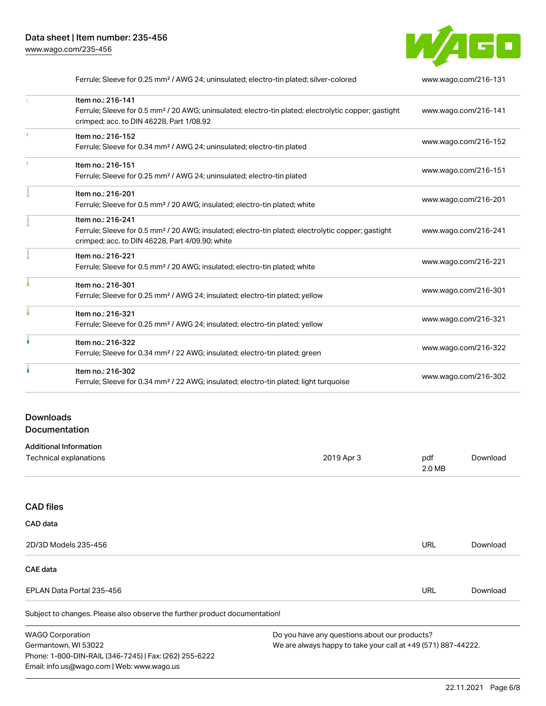

| Ferrule; Sleeve for 0.25 mm <sup>2</sup> / AWG 24; uninsulated; electro-tin plated; silver-colored               | www.wago.com/216-131 |  |
|------------------------------------------------------------------------------------------------------------------|----------------------|--|
| Item no.: 216-141                                                                                                |                      |  |
| Ferrule; Sleeve for 0.5 mm <sup>2</sup> / 20 AWG; uninsulated; electro-tin plated; electrolytic copper; gastight | www.wago.com/216-141 |  |
| crimped; acc. to DIN 46228, Part 1/08.92                                                                         |                      |  |
| Item no.: 216-152                                                                                                | www.wago.com/216-152 |  |
| Ferrule; Sleeve for 0.34 mm <sup>2</sup> / AWG 24; uninsulated; electro-tin plated                               |                      |  |
| Item no.: 216-151                                                                                                |                      |  |
| Ferrule; Sleeve for 0.25 mm <sup>2</sup> / AWG 24; uninsulated; electro-tin plated                               | www.wago.com/216-151 |  |
| Item no.: 216-201                                                                                                |                      |  |
| Ferrule; Sleeve for 0.5 mm <sup>2</sup> / 20 AWG; insulated; electro-tin plated; white                           | www.wago.com/216-201 |  |
| Item no.: 216-241                                                                                                |                      |  |
| Ferrule; Sleeve for 0.5 mm <sup>2</sup> / 20 AWG; insulated; electro-tin plated; electrolytic copper; gastight   | www.wago.com/216-241 |  |
| crimped; acc. to DIN 46228, Part 4/09.90; white                                                                  |                      |  |
| Item no.: 216-221                                                                                                |                      |  |
| Ferrule; Sleeve for 0.5 mm <sup>2</sup> / 20 AWG; insulated; electro-tin plated; white                           | www.wago.com/216-221 |  |
| Item no.: 216-301                                                                                                |                      |  |
| Ferrule; Sleeve for 0.25 mm <sup>2</sup> / AWG 24; insulated; electro-tin plated; yellow                         | www.wago.com/216-301 |  |
| Item no.: 216-321                                                                                                |                      |  |
| Ferrule; Sleeve for 0.25 mm <sup>2</sup> / AWG 24; insulated; electro-tin plated; yellow                         | www.wago.com/216-321 |  |
| Item no.: 216-322                                                                                                |                      |  |
| Ferrule; Sleeve for 0.34 mm <sup>2</sup> / 22 AWG; insulated; electro-tin plated; green                          | www.wago.com/216-322 |  |
| Item no.: 216-302                                                                                                |                      |  |
| Ferrule; Sleeve for 0.34 mm <sup>2</sup> / 22 AWG; insulated; electro-tin plated; light turquoise                | www.wago.com/216-302 |  |
|                                                                                                                  |                      |  |

# Downloads Documentation

Phone: 1-800-DIN-RAIL (346-7245) | Fax: (262) 255-6222

Email: info.us@wago.com | Web: www.wago.us

| <b>Additional Information</b>                                              |                                                               |               |          |
|----------------------------------------------------------------------------|---------------------------------------------------------------|---------------|----------|
| Technical explanations                                                     | 2019 Apr 3                                                    | pdf<br>2.0 MB | Download |
|                                                                            |                                                               |               |          |
| <b>CAD files</b>                                                           |                                                               |               |          |
| CAD data                                                                   |                                                               |               |          |
| 2D/3D Models 235-456                                                       |                                                               | URL           | Download |
| CAE data                                                                   |                                                               |               |          |
| EPLAN Data Portal 235-456                                                  |                                                               | URL           | Download |
| Subject to changes. Please also observe the further product documentation! |                                                               |               |          |
| <b>WAGO Corporation</b>                                                    | Do you have any questions about our products?                 |               |          |
| Germantown, WI 53022                                                       | We are always happy to take your call at +49 (571) 887-44222. |               |          |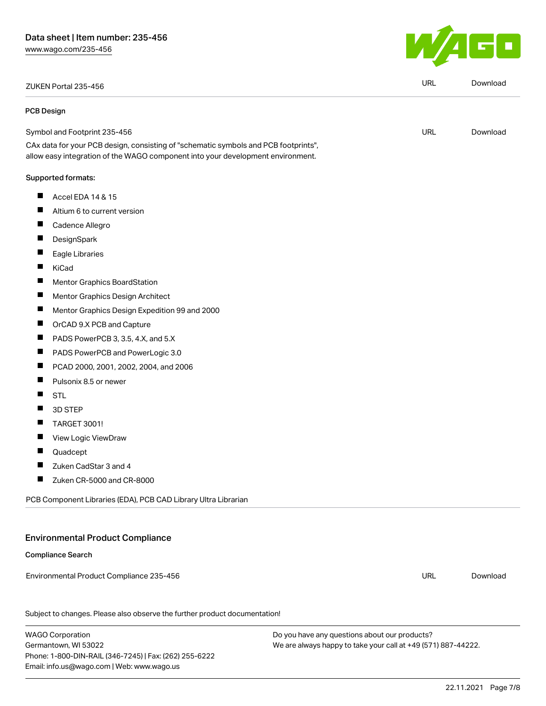ZUKEN Portal 235-456 URL [Download](https://www.wago.com/global/d/Zuken_URLS_235-456)

#### PCB Design

Symbol and Footprint 235-456

CAx data for your PCB design, consisting of "schematic symbols and PCB footprints", allow easy integration of the WAGO component into your development environment.

#### Supported formats:

- $\blacksquare$ Accel EDA 14 & 15
- $\blacksquare$ Altium 6 to current version
- $\blacksquare$ Cadence Allegro
- П **DesignSpark**
- П Eagle Libraries
- $\blacksquare$ KiCad
- $\blacksquare$ Mentor Graphics BoardStation
- $\blacksquare$ Mentor Graphics Design Architect
- $\blacksquare$ Mentor Graphics Design Expedition 99 and 2000
- $\blacksquare$ OrCAD 9.X PCB and Capture
- $\blacksquare$ PADS PowerPCB 3, 3.5, 4.X, and 5.X
- $\blacksquare$ PADS PowerPCB and PowerLogic 3.0
- $\blacksquare$ PCAD 2000, 2001, 2002, 2004, and 2006
- П Pulsonix 8.5 or newer
- П STL
- $\blacksquare$ 3D STEP
- $\blacksquare$ TARGET 3001!
- П View Logic ViewDraw
- П Quadcept
- $\blacksquare$ Zuken CadStar 3 and 4
- $\blacksquare$ Zuken CR-5000 and CR-8000

PCB Component Libraries (EDA), PCB CAD Library Ultra Librarian

# Environmental Product Compliance

Compliance Search

Environmental Product Compliance 235-456

Subject to changes. Please also observe the further product documentation!

WAGO Corporation Germantown, WI 53022 Phone: 1-800-DIN-RAIL (346-7245) | Fax: (262) 255-6222 Email: info.us@wago.com | Web: www.wago.us

Do you have any questions about our products? We are always happy to take your call at +49 (571) 887-44222.



URL [Download](https://www.wago.com/global/d/UltraLibrarian_URLS_235-456)

URL [Download](https://www.wago.com/global/d/ComplianceLinkMediaContainer_235-456)